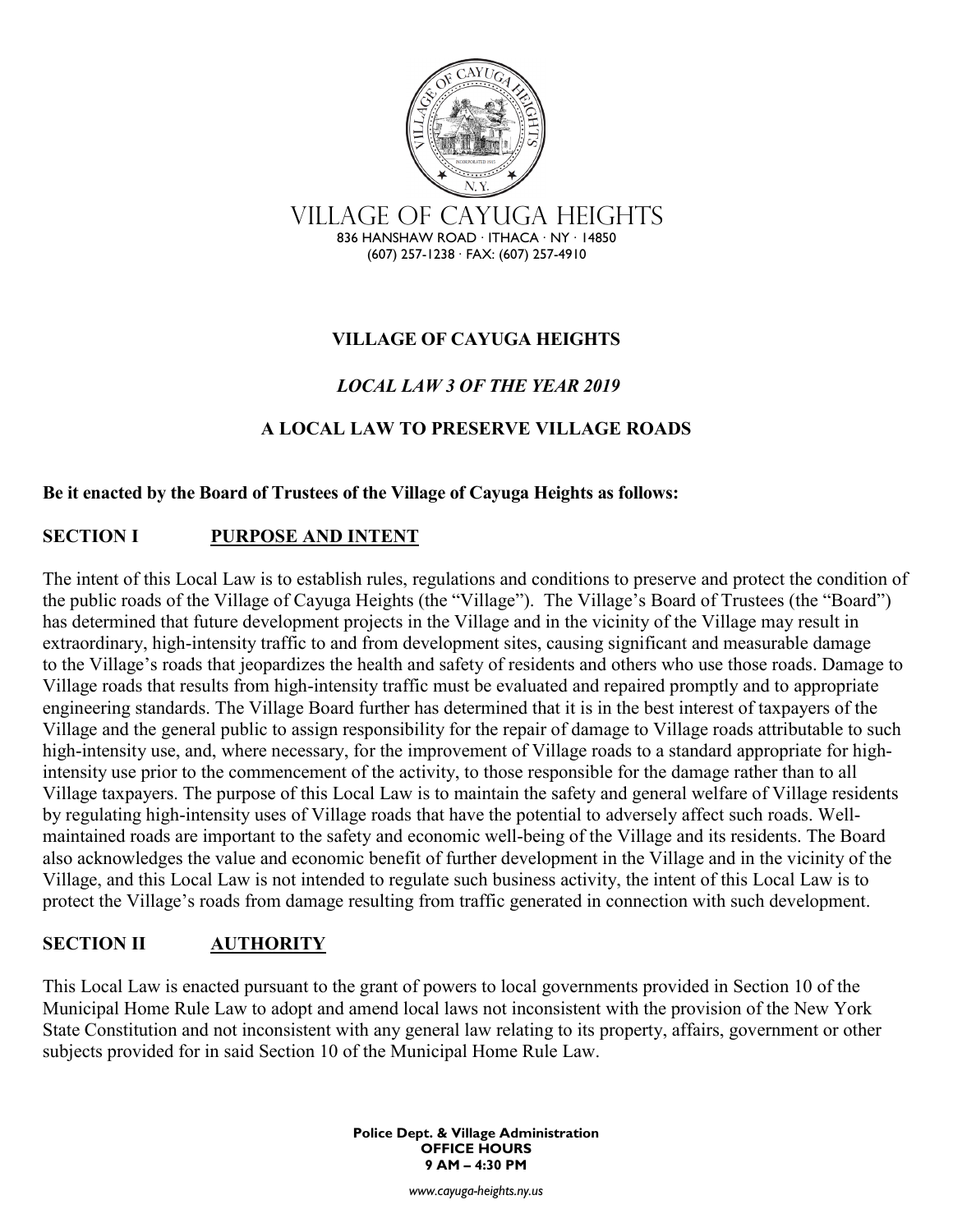

### **VILLAGE OF CAYUGA HEIGHTS**

## *LOCAL LAW 3 OF THE YEAR 2019*

#### **A LOCAL LAW TO PRESERVE VILLAGE ROADS**

#### **Be it enacted by the Board of Trustees of the Village of Cayuga Heights as follows:**

#### **SECTION I PURPOSE AND INTENT**

The intent of this Local Law is to establish rules, regulations and conditions to preserve and protect the condition of the public roads of the Village of Cayuga Heights (the "Village"). The Village's Board of Trustees (the "Board") has determined that future development projects in the Village and in the vicinity of the Village may result in extraordinary, high-intensity traffic to and from development sites, causing significant and measurable damage to the Village's roads that jeopardizes the health and safety of residents and others who use those roads. Damage to Village roads that results from high-intensity traffic must be evaluated and repaired promptly and to appropriate engineering standards. The Village Board further has determined that it is in the best interest of taxpayers of the Village and the general public to assign responsibility for the repair of damage to Village roads attributable to such high-intensity use, and, where necessary, for the improvement of Village roads to a standard appropriate for highintensity use prior to the commencement of the activity, to those responsible for the damage rather than to all Village taxpayers. The purpose of this Local Law is to maintain the safety and general welfare of Village residents by regulating high-intensity uses of Village roads that have the potential to adversely affect such roads. Wellmaintained roads are important to the safety and economic well-being of the Village and its residents. The Board also acknowledges the value and economic benefit of further development in the Village and in the vicinity of the Village, and this Local Law is not intended to regulate such business activity, the intent of this Local Law is to protect the Village's roads from damage resulting from traffic generated in connection with such development.

#### **SECTION II AUTHORITY**

This Local Law is enacted pursuant to the grant of powers to local governments provided in Section 10 of the Municipal Home Rule Law to adopt and amend local laws not inconsistent with the provision of the New York State Constitution and not inconsistent with any general law relating to its property, affairs, government or other subjects provided for in said Section 10 of the Municipal Home Rule Law.

> **Police Dept. & Village Administration OFFICE HOURS 9 AM – 4:30 PM**

> > *www.cayuga-heights.ny.us*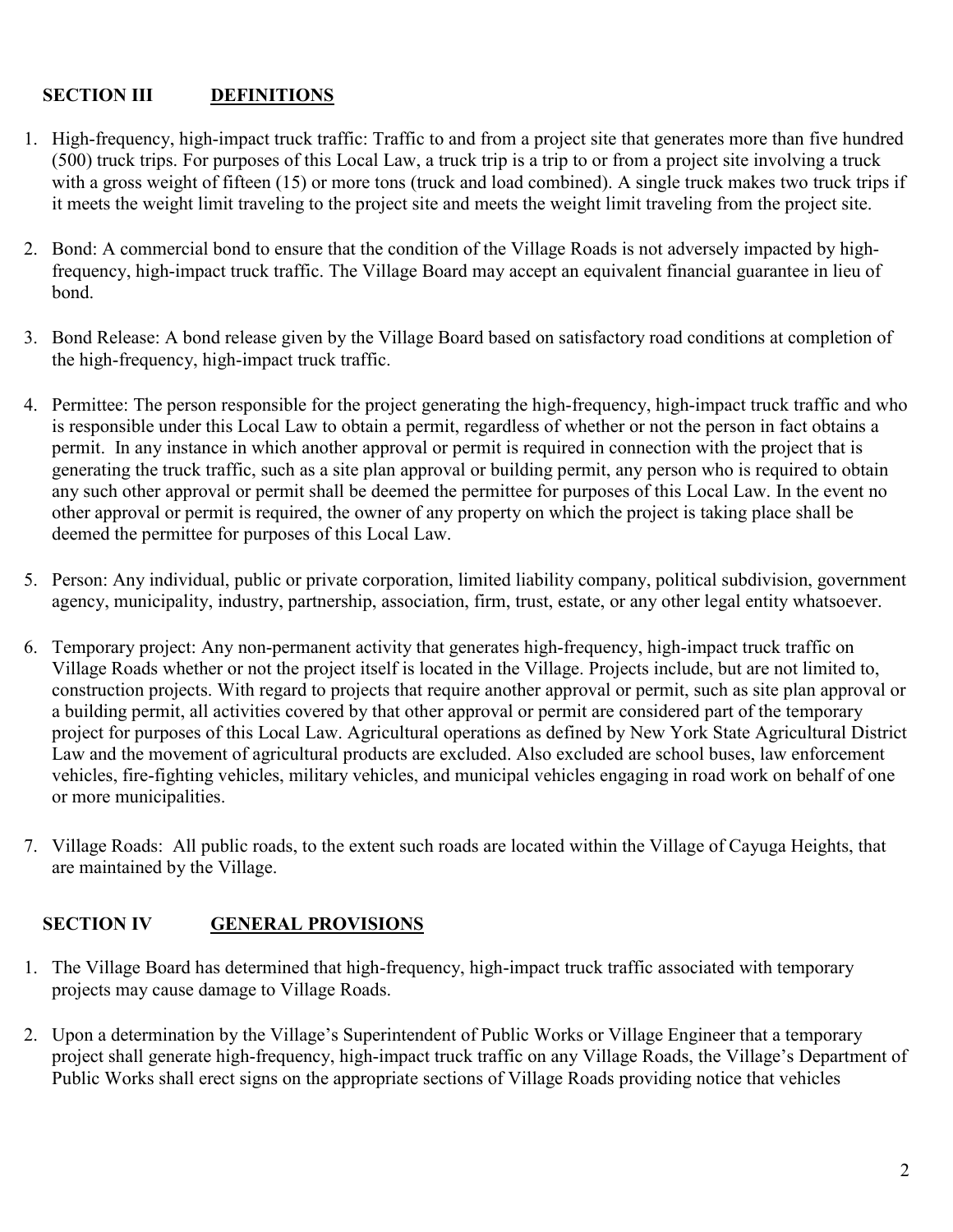#### **SECTION III DEFINITIONS**

- 1. High-frequency, high-impact truck traffic: Traffic to and from a project site that generates more than five hundred (500) truck trips. For purposes of this Local Law, a truck trip is a trip to or from a project site involving a truck with a gross weight of fifteen (15) or more tons (truck and load combined). A single truck makes two truck trips if it meets the weight limit traveling to the project site and meets the weight limit traveling from the project site.
- 2. Bond: A commercial bond to ensure that the condition of the Village Roads is not adversely impacted by highfrequency, high-impact truck traffic. The Village Board may accept an equivalent financial guarantee in lieu of bond.
- 3. Bond Release: A bond release given by the Village Board based on satisfactory road conditions at completion of the high-frequency, high-impact truck traffic.
- 4. Permittee: The person responsible for the project generating the high-frequency, high-impact truck traffic and who is responsible under this Local Law to obtain a permit, regardless of whether or not the person in fact obtains a permit. In any instance in which another approval or permit is required in connection with the project that is generating the truck traffic, such as a site plan approval or building permit, any person who is required to obtain any such other approval or permit shall be deemed the permittee for purposes of this Local Law. In the event no other approval or permit is required, the owner of any property on which the project is taking place shall be deemed the permittee for purposes of this Local Law.
- 5. Person: Any individual, public or private corporation, limited liability company, political subdivision, government agency, municipality, industry, partnership, association, firm, trust, estate, or any other legal entity whatsoever.
- 6. Temporary project: Any non-permanent activity that generates high-frequency, high-impact truck traffic on Village Roads whether or not the project itself is located in the Village. Projects include, but are not limited to, construction projects. With regard to projects that require another approval or permit, such as site plan approval or a building permit, all activities covered by that other approval or permit are considered part of the temporary project for purposes of this Local Law. Agricultural operations as defined by New York State Agricultural District Law and the movement of agricultural products are excluded. Also excluded are school buses, law enforcement vehicles, fire-fighting vehicles, military vehicles, and municipal vehicles engaging in road work on behalf of one or more municipalities.
- 7. Village Roads: All public roads, to the extent such roads are located within the Village of Cayuga Heights, that are maintained by the Village.

### **SECTION IV GENERAL PROVISIONS**

- 1. The Village Board has determined that high-frequency, high-impact truck traffic associated with temporary projects may cause damage to Village Roads.
- 2. Upon a determination by the Village's Superintendent of Public Works or Village Engineer that a temporary project shall generate high-frequency, high-impact truck traffic on any Village Roads, the Village's Department of Public Works shall erect signs on the appropriate sections of Village Roads providing notice that vehicles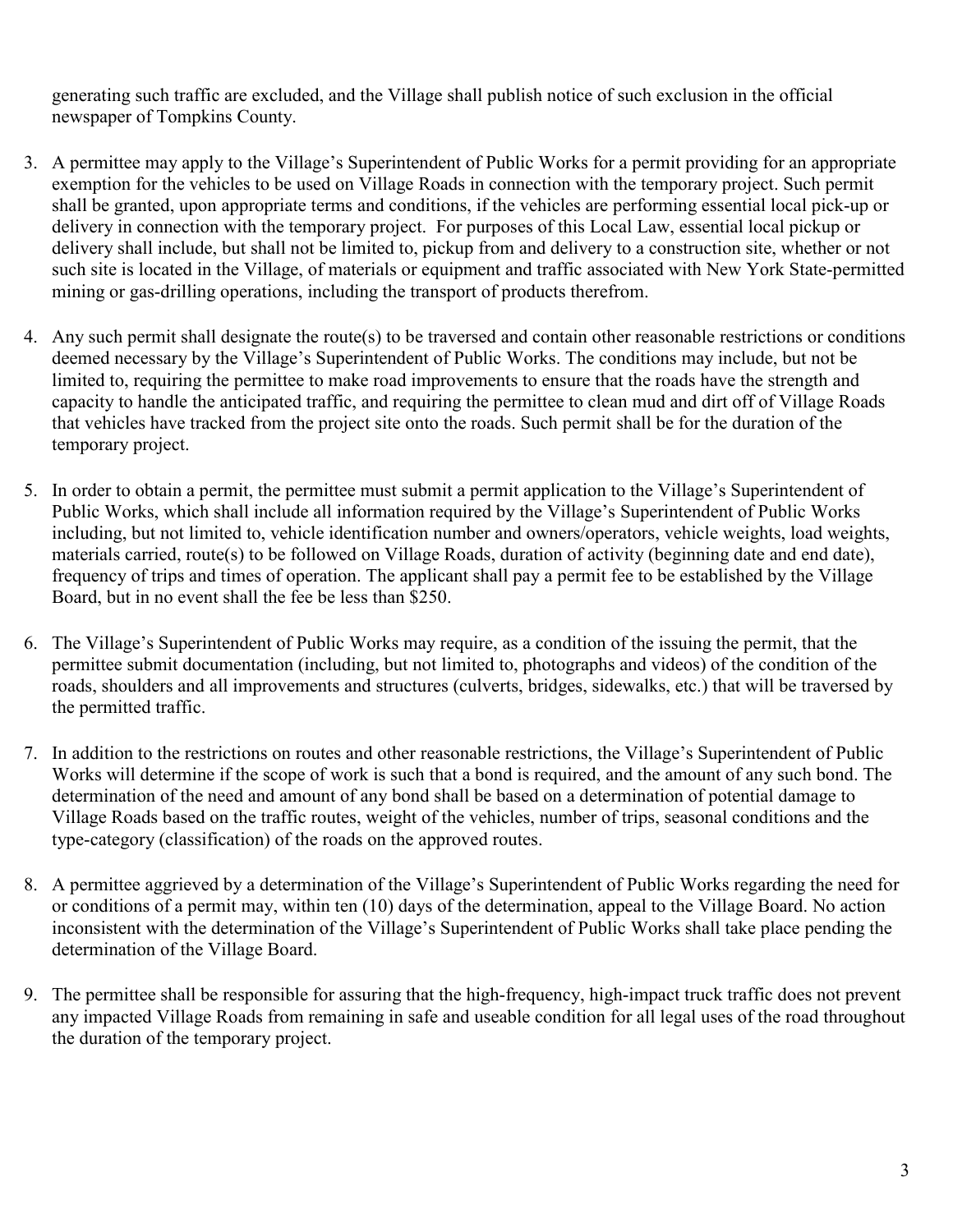generating such traffic are excluded, and the Village shall publish notice of such exclusion in the official newspaper of Tompkins County.

- 3. A permittee may apply to the Village's Superintendent of Public Works for a permit providing for an appropriate exemption for the vehicles to be used on Village Roads in connection with the temporary project. Such permit shall be granted, upon appropriate terms and conditions, if the vehicles are performing essential local pick-up or delivery in connection with the temporary project. For purposes of this Local Law, essential local pickup or delivery shall include, but shall not be limited to, pickup from and delivery to a construction site, whether or not such site is located in the Village, of materials or equipment and traffic associated with New York State-permitted mining or gas-drilling operations, including the transport of products therefrom.
- 4. Any such permit shall designate the route(s) to be traversed and contain other reasonable restrictions or conditions deemed necessary by the Village's Superintendent of Public Works. The conditions may include, but not be limited to, requiring the permittee to make road improvements to ensure that the roads have the strength and capacity to handle the anticipated traffic, and requiring the permittee to clean mud and dirt off of Village Roads that vehicles have tracked from the project site onto the roads. Such permit shall be for the duration of the temporary project.
- 5. In order to obtain a permit, the permittee must submit a permit application to the Village's Superintendent of Public Works, which shall include all information required by the Village's Superintendent of Public Works including, but not limited to, vehicle identification number and owners/operators, vehicle weights, load weights, materials carried, route(s) to be followed on Village Roads, duration of activity (beginning date and end date), frequency of trips and times of operation. The applicant shall pay a permit fee to be established by the Village Board, but in no event shall the fee be less than \$250.
- 6. The Village's Superintendent of Public Works may require, as a condition of the issuing the permit, that the permittee submit documentation (including, but not limited to, photographs and videos) of the condition of the roads, shoulders and all improvements and structures (culverts, bridges, sidewalks, etc.) that will be traversed by the permitted traffic.
- 7. In addition to the restrictions on routes and other reasonable restrictions, the Village's Superintendent of Public Works will determine if the scope of work is such that a bond is required, and the amount of any such bond. The determination of the need and amount of any bond shall be based on a determination of potential damage to Village Roads based on the traffic routes, weight of the vehicles, number of trips, seasonal conditions and the type-category (classification) of the roads on the approved routes.
- 8. A permittee aggrieved by a determination of the Village's Superintendent of Public Works regarding the need for or conditions of a permit may, within ten (10) days of the determination, appeal to the Village Board. No action inconsistent with the determination of the Village's Superintendent of Public Works shall take place pending the determination of the Village Board.
- 9. The permittee shall be responsible for assuring that the high-frequency, high-impact truck traffic does not prevent any impacted Village Roads from remaining in safe and useable condition for all legal uses of the road throughout the duration of the temporary project.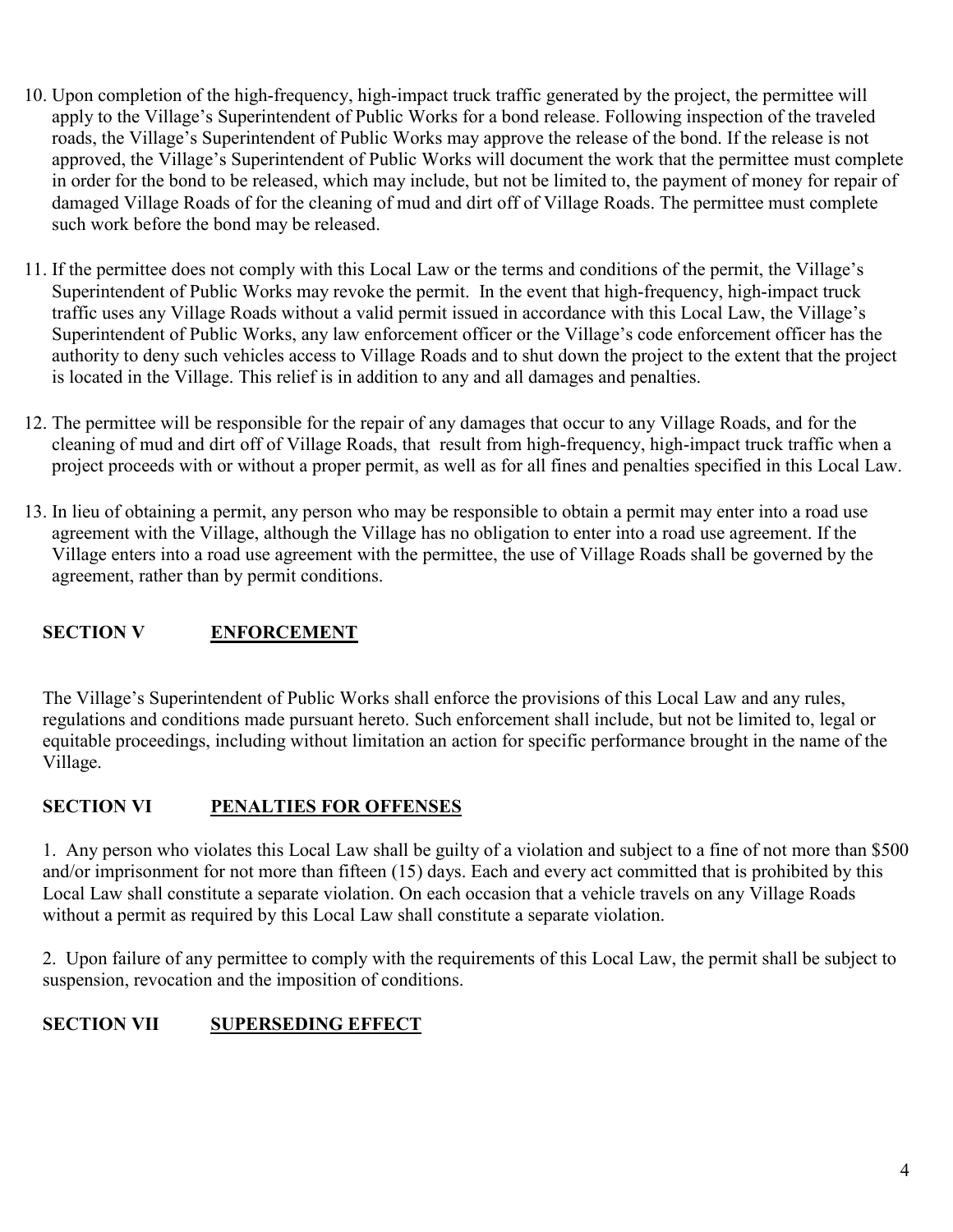- 10. Upon completion of the high-frequency, high-impact truck traffic generated by the project, the permittee will apply to the Village's Superintendent of Public Works for a bond release. Following inspection of the traveled roads, the Village's Superintendent of Public Works may approve the release of the bond. If the release is not approved, the Village's Superintendent of Public Works will document the work that the permittee must complete in order for the bond to be released, which may include, but not be limited to, the payment of money for repair of damaged Village Roads of for the cleaning of mud and dirt off of Village Roads. The permittee must complete such work before the bond may be released.
- 11. If the permittee does not comply with this Local Law or the terms and conditions of the permit, the Village's Superintendent of Public Works may revoke the permit. In the event that high-frequency, high-impact truck traffic uses any Village Roads without a valid permit issued in accordance with this Local Law, the Village's Superintendent of Public Works, any law enforcement officer or the Village's code enforcement officer has the authority to deny such vehicles access to Village Roads and to shut down the project to the extent that the project is located in the Village. This relief is in addition to any and all damages and penalties.
- 12. The permittee will be responsible for the repair of any damages that occur to any Village Roads, and for the cleaning of mud and dirt off of Village Roads, that result from high-frequency, high-impact truck traffic when a project proceeds with or without a proper permit, as well as for all fines and penalties specified in this Local Law.
- 13. In lieu of obtaining a permit, any person who may be responsible to obtain a permit may enter into a road use agreement with the Village, although the Village has no obligation to enter into a road use agreement. If the Village enters into a road use agreement with the permittee, the use of Village Roads shall be governed by the agreement, rather than by permit conditions.

# **SECTION V ENFORCEMENT**

The Village's Superintendent of Public Works shall enforce the provisions of this Local Law and any rules, regulations and conditions made pursuant hereto. Such enforcement shall include, but not be limited to, legal or equitable proceedings, including without limitation an action for specific performance brought in the name of the Village.

### **SECTION VI PENALTIES FOR OFFENSES**

1. Any person who violates this Local Law shall be guilty of a violation and subject to a fine of not more than \$500 and/or imprisonment for not more than fifteen (15) days. Each and every act committed that is prohibited by this Local Law shall constitute a separate violation. On each occasion that a vehicle travels on any Village Roads without a permit as required by this Local Law shall constitute a separate violation.

2. Upon failure of any permittee to comply with the requirements of this Local Law, the permit shall be subject to suspension, revocation and the imposition of conditions.

# **SECTION VII SUPERSEDING EFFECT**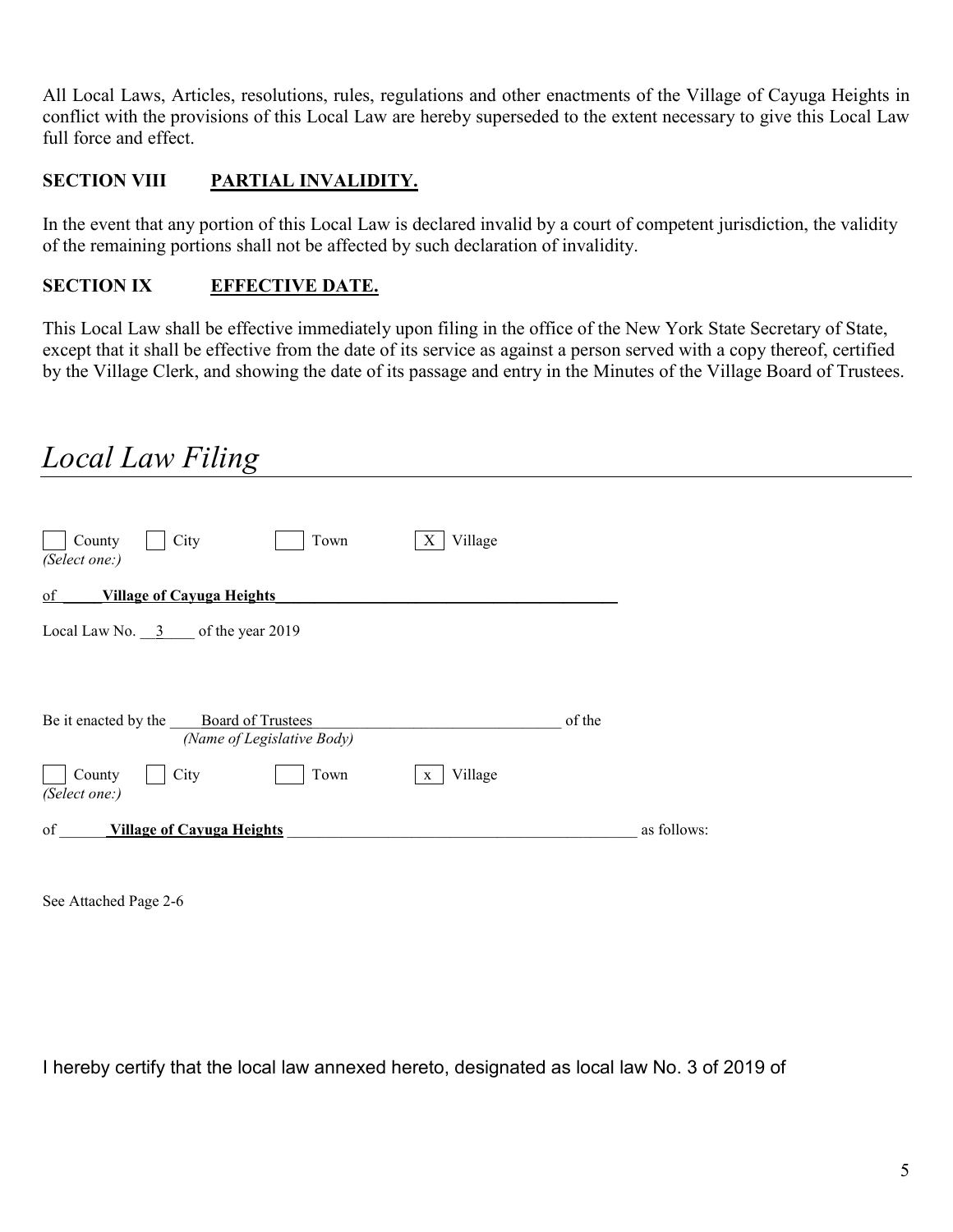All Local Laws, Articles, resolutions, rules, regulations and other enactments of the Village of Cayuga Heights in conflict with the provisions of this Local Law are hereby superseded to the extent necessary to give this Local Law full force and effect.

## **SECTION VIII PARTIAL INVALIDITY.**

In the event that any portion of this Local Law is declared invalid by a court of competent jurisdiction, the validity of the remaining portions shall not be affected by such declaration of invalidity.

### **SECTION IX EFFECTIVE DATE.**

This Local Law shall be effective immediately upon filing in the office of the New York State Secretary of State, except that it shall be effective from the date of its service as against a person served with a copy thereof, certified by the Village Clerk, and showing the date of its passage and entry in the Minutes of the Village Board of Trustees.

# *Local Law Filing*

| City<br>Village<br>County<br>Town<br>X<br>(Select one:)              |             |
|----------------------------------------------------------------------|-------------|
| <b>Village of Cayuga Heights</b><br>of                               |             |
| Local Law No. $3 \qquad$ of the year 2019                            |             |
| Be it enacted by the Board of Trustees<br>(Name of Legislative Body) | of the      |
| Village<br>City<br>County<br>Town<br>$\mathbf{X}$<br>(Select one:)   |             |
| of<br><b>Village of Cayuga Heights</b>                               | as follows: |

See Attached Page 2-6

I hereby certify that the local law annexed hereto, designated as local law No. 3 of 2019 of